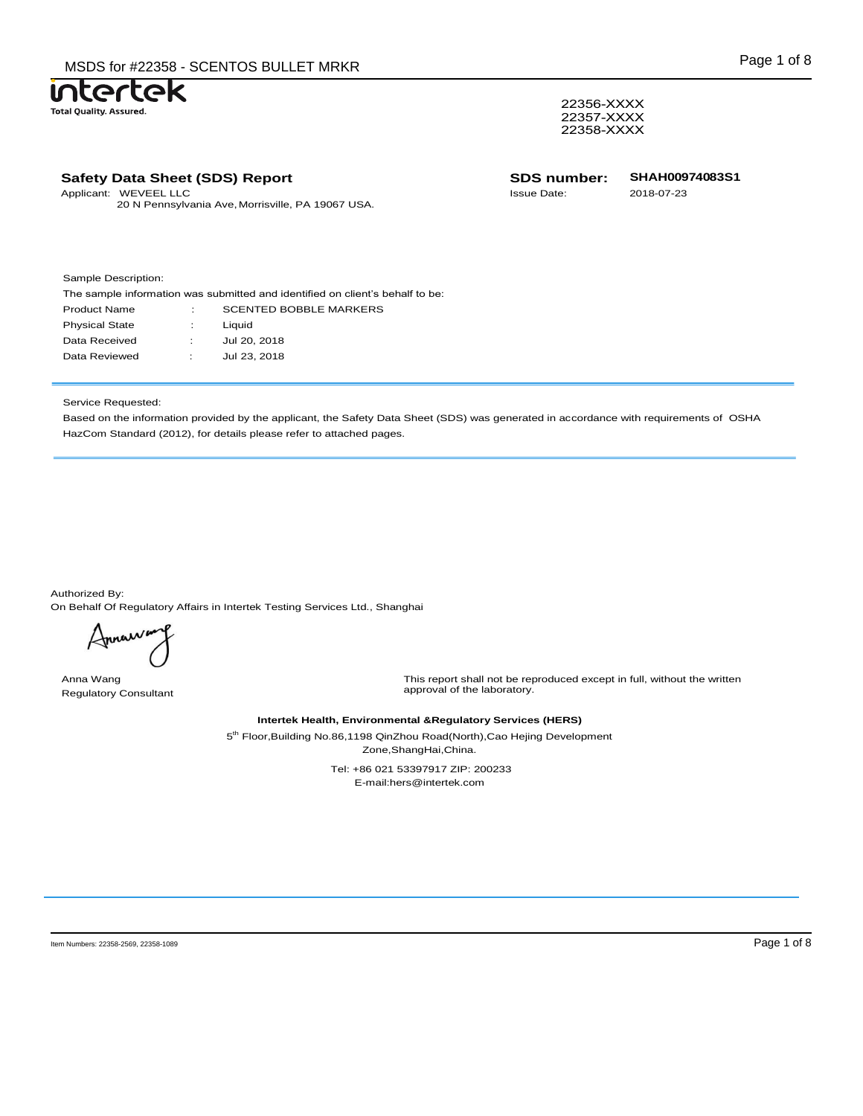22356-XXXX 22357-XXXX 22358-XXXX

|            | <b>Safety Data Sheet (SDS) Report</b>                           | <b>SDS number:</b> | <b>SHAH00974083S1</b> |  |
|------------|-----------------------------------------------------------------|--------------------|-----------------------|--|
| Applicant: | WEVEEL LLC<br>20 N Pennsylvania Ave, Morrisville, PA 19067 USA. | <b>Issue Date:</b> | 2018-07-23            |  |
|            |                                                                 |                    |                       |  |

Sample Description:

htertek

**Total Quality. Assured.** 

The sample information was submitted and identified on client's behalf to be: Product Name : SCENTED BOBBLE MARKERS Physical State : Liquid Data Received : Jul 20, 2018 Data Reviewed : Jul 23, 2018

## Service Requested:

Based on the information provided by the applicant, the Safety Data Sheet (SDS) was generated in accordance with requirements of OSHA HazCom Standard (2012), for details please refer to attached pages.

Authorized By: On Behalf Of Regulatory Affairs in Intertek Testing Services Ltd., Shanghai

Annaw

Anna Wang Regulatory Consultant

This report shall not be reproduced except in full, without the written approval of the laboratory.

## **Intertek Health, Environmental &Regulatory Services (HERS)**

5<sup>th</sup> Floor,Building No.86,1198 QinZhou Road(North),Cao Hejing Development Zone,ShangHai,China.

> Tel: +86 021 53397917 ZIP: 200233 E-mail:hers@intertek.com

Item Numbers: 22358-2569, 22358-1089 Page 1 of 8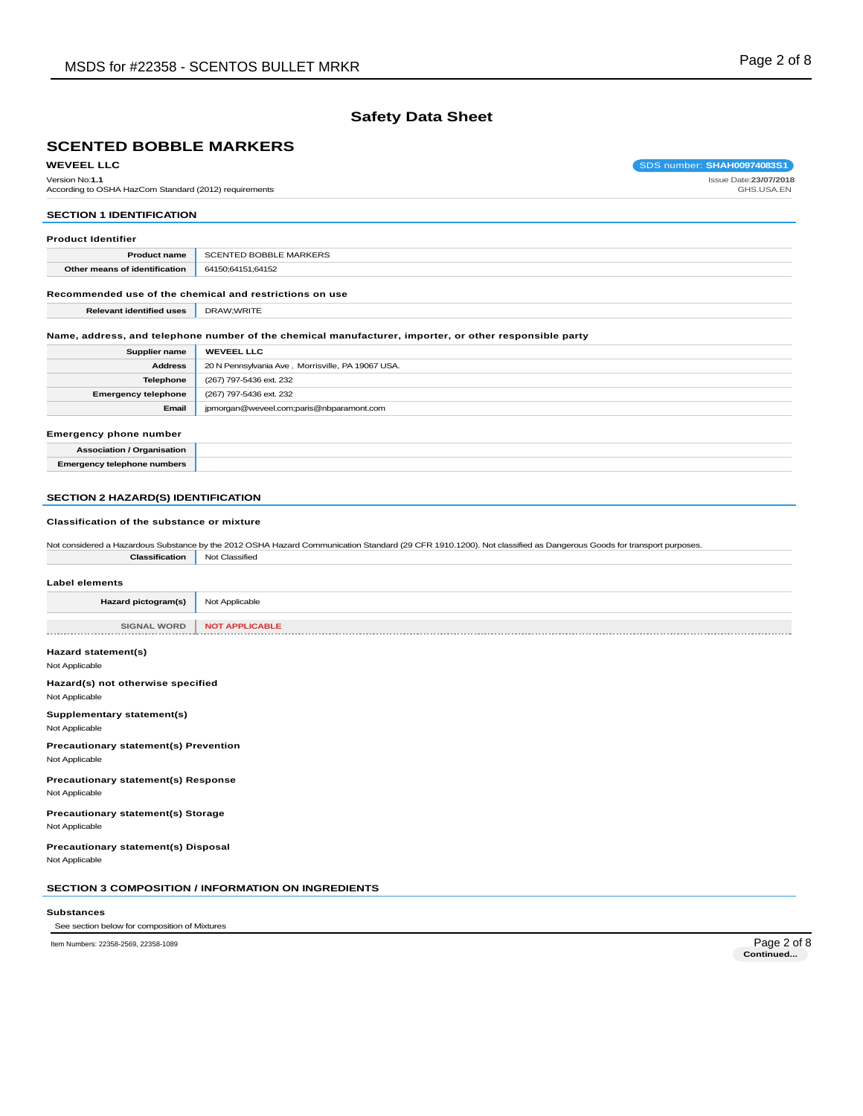## **Safety Data Sheet**

# **SCENTED BOBBLE MARKERS**

**WEVEEL LLC** SOS number: **SHAH00974083S1** 

Version No:**1.1** According to OSHA HazCom Standard (2012) requirements Issue Date:**23/07/2018** GHS.USA.EN

## **SECTION 1 IDENTIFICATION**

| <b>Product Identifier</b>     |                        |  |  |  |
|-------------------------------|------------------------|--|--|--|
| <b>Product name</b>           | SCENTED BOBBLE MARKERS |  |  |  |
| Other means of identification | 64150;64151;64152      |  |  |  |
|                               |                        |  |  |  |

## **Recommended use of the chemical and restrictions on use**

**Relevant identified uses** DRAW;WRITE

#### **Name, address, and telephone number of the chemical manufacturer, importer, or other responsible party**

| Supplier name              | <b>WEVEEL LLC</b>                                 |
|----------------------------|---------------------------------------------------|
| <b>Address</b>             | 20 N Pennsylvania Ave, Morrisville, PA 19067 USA. |
| <b>Telephone</b>           | (267) 797-5436 ext. 232                           |
| <b>Emergency telephone</b> | (267) 797-5436 ext. 232                           |
| Email                      | jpmorgan@weveel.com;paris@nbparamont.com          |
|                            |                                                   |

#### **Emergency phone number**

| <b>Association / Organisation</b>  |  |
|------------------------------------|--|
| <b>Emergency telephone numbers</b> |  |

#### **SECTION 2 HAZARD(S) IDENTIFICATION**

## **Classification of the substance or mixture**

| Not considered a Hazardous Substance by the 2012 OSHA Hazard Communication Standard (29 CFR 1910.1200). Not classified as Dangerous Goods for transport purposes. |  |  |  |  |
|-------------------------------------------------------------------------------------------------------------------------------------------------------------------|--|--|--|--|
| <b>Classification</b> Not Classified                                                                                                                              |  |  |  |  |

#### **Label elements**

| Hazard pictogram(s) | Not Applicable               |
|---------------------|------------------------------|
|                     |                              |
|                     | SIGNAL WORD   NOT APPLICABLE |
|                     |                              |

## **Hazard statement(s)**

Not Applicable

#### **Hazard(s) not otherwise specified** Not Applicable

**Supplementary statement(s)**

Not Applicable

**Precautionary statement(s) Prevention** Not Applicable

#### **Precautionary statement(s) Response** Not Applicable

**Precautionary statement(s) Storage** Not Applicable

## **Precautionary statement(s) Disposal**

Not Applicable

#### **SECTION 3 COMPOSITION / INFORMATION ON INGREDIENTS**

#### **Substances**

#### See section below for composition of Mixtures

Item Numbers: 22358-2569, 22358-1089 Page 2 of 8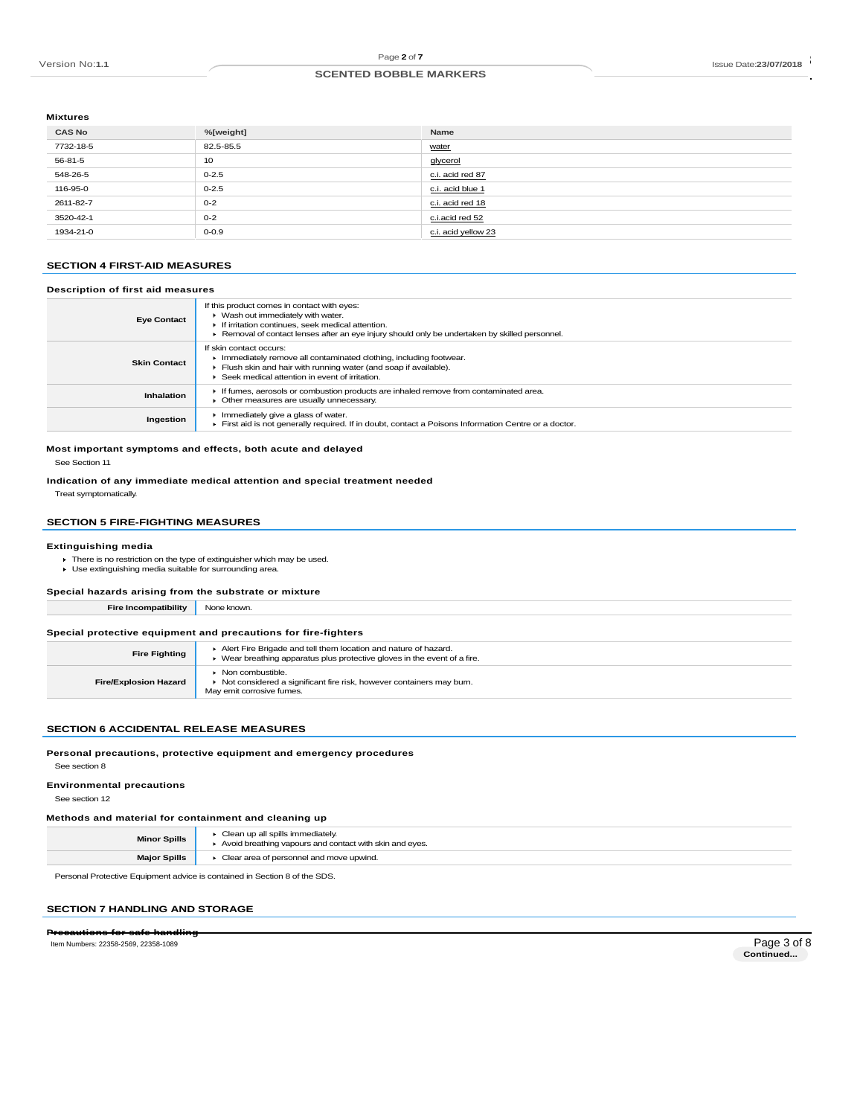Page **2** of **7**

#### Page 2 of 7<br>
RECENTED BOBBLE MARKERS<br>
SCENTED BOBBLE MARKERS **SCENTED BOBBLE MARKERS**

## **Mixtures**

| <b>CAS No</b> | %[weight] | Name                |
|---------------|-----------|---------------------|
| 7732-18-5     | 82.5-85.5 | water               |
| 56-81-5       | 10        | glycerol            |
| 548-26-5      | $0 - 2.5$ | c.i. acid red 87    |
| 116-95-0      | $0 - 2.5$ | c.i. acid blue 1    |
| 2611-82-7     | $0 - 2$   | c.i. acid red 18    |
| 3520-42-1     | $0 - 2$   | c.i.acid red 52     |
| 1934-21-0     | $0 - 0.9$ | c.i. acid yellow 23 |

#### **SECTION 4 FIRST-AID MEASURES**

#### **Description of first aid measures**

| <b>Eye Contact</b>  | If this product comes in contact with eyes:<br>• Wash out immediately with water.<br>If irritation continues, seek medical attention.<br>▶ Removal of contact lenses after an eye injury should only be undertaken by skilled personnel. |
|---------------------|------------------------------------------------------------------------------------------------------------------------------------------------------------------------------------------------------------------------------------------|
| <b>Skin Contact</b> | If skin contact occurs:<br>Immediately remove all contaminated clothing, including footwear.<br>Flush skin and hair with running water (and soap if available).<br>$\blacktriangleright$ Seek medical attention in event of irritation.  |
| Inhalation          | If fumes, aerosols or combustion products are inhaled remove from contaminated area.<br>• Other measures are usually unnecessary.                                                                                                        |
| Ingestion           | Immediately give a glass of water.<br>First aid is not generally required. If in doubt, contact a Poisons Information Centre or a doctor.                                                                                                |

#### **Most important symptoms and effects, both acute and delayed** See Section 11

# **Indication of any immediate medical attention and special treatment needed**

Treat symptomatically.

## **SECTION 5 FIRE-FIGHTING MEASURES**

#### **Extinguishing media**

- There is no restriction on the type of extinguisher which may be used. Use extinguishing media suitable for surrounding area.
- 

#### **Special hazards arising from the substrate or mixture**

**Fire Incompatibility** None known.

#### **Special protective equipment and precautions for fire-fighters**

| <b>Fire Fighting</b>         | Alert Fire Brigade and tell them location and nature of hazard.<br>• Wear breathing apparatus plus protective gloves in the event of a fire. |
|------------------------------|----------------------------------------------------------------------------------------------------------------------------------------------|
| <b>Fire/Explosion Hazard</b> | $\triangleright$ Non combustible.<br>► Not considered a significant fire risk, however containers may burn.<br>May emit corrosive fumes.     |

#### **SECTION 6 ACCIDENTAL RELEASE MEASURES**

#### **Personal precautions, protective equipment and emergency procedures**

See section 8

## **Environmental precautions**

See section 12

#### **Methods and material for containment and cleaning up**

| <b>Minor Spills</b> | Clean up all spills immediately.<br>Avoid breathing vapours and contact with skin and eyes. |
|---------------------|---------------------------------------------------------------------------------------------|
| <b>Major Spills</b> | Clear area of personnel and move upwind.                                                    |

Personal Protective Equipment advice is contained in Section 8 of the SDS.

#### **SECTION 7 HANDLING AND STORAGE**

## **Precautions for**

Item Numbers: 22358-2569, 22358-1089

Page 3 of 8<br> **Continued...**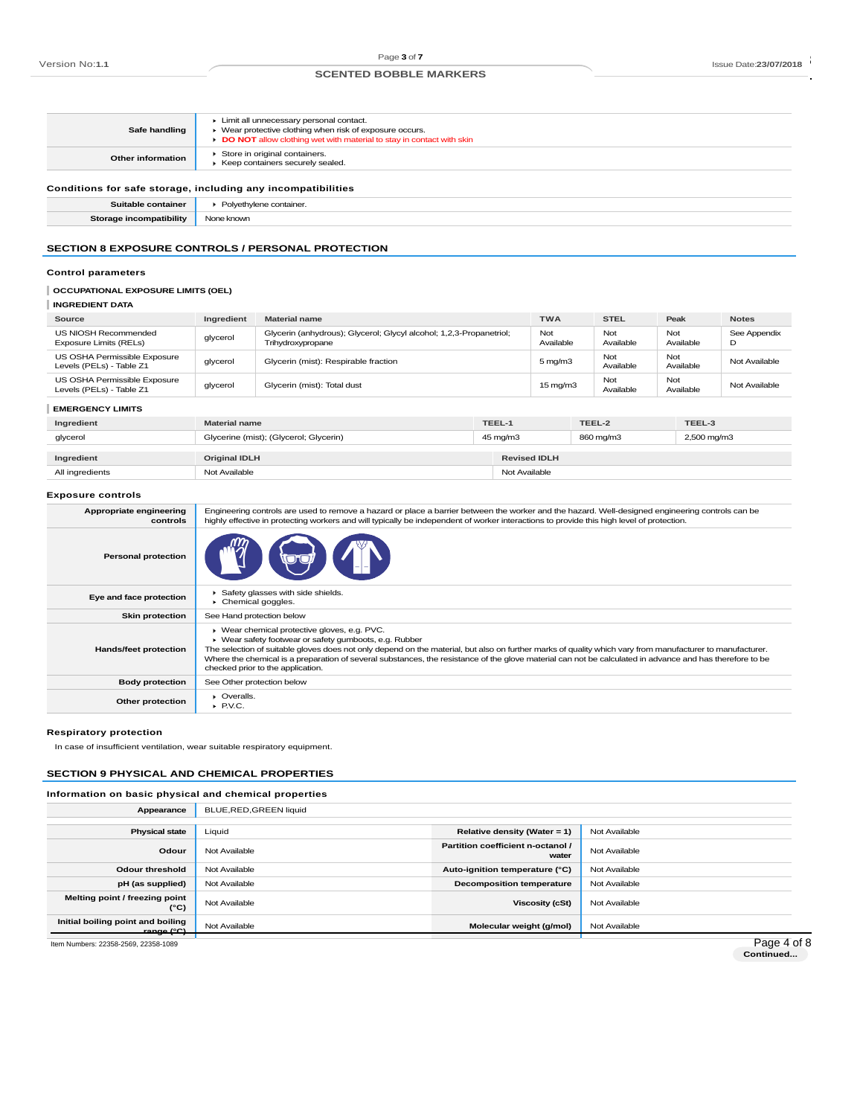# Page 3 of 7<br>
BORTED BOBBLE MARKERS<br>
BOBBLE MARKERS

| Safe handling                                                                                                                                                | Limit all unnecessary personal contact.<br>• Wear protective clothing when risk of exposure occurs.<br>DO NOT allow clothing wet with material to stay in contact with skin |                                                                                          |        |                      |                  |                  |                   |
|--------------------------------------------------------------------------------------------------------------------------------------------------------------|-----------------------------------------------------------------------------------------------------------------------------------------------------------------------------|------------------------------------------------------------------------------------------|--------|----------------------|------------------|------------------|-------------------|
| <b>Other information</b>                                                                                                                                     |                                                                                                                                                                             | Store in original containers.<br>▶ Keep containers securely sealed.                      |        |                      |                  |                  |                   |
|                                                                                                                                                              | Conditions for safe storage, including any incompatibilities                                                                                                                |                                                                                          |        |                      |                  |                  |                   |
| Suitable container                                                                                                                                           |                                                                                                                                                                             | Polyethylene container.                                                                  |        |                      |                  |                  |                   |
| <b>Storage incompatibility</b>                                                                                                                               | None known                                                                                                                                                                  |                                                                                          |        |                      |                  |                  |                   |
| <b>SECTION 8 EXPOSURE CONTROLS / PERSONAL PROTECTION</b><br><b>Control parameters</b><br><b>OCCUPATIONAL EXPOSURE LIMITS (OEL)</b><br><b>INGREDIENT DATA</b> |                                                                                                                                                                             |                                                                                          |        |                      |                  |                  |                   |
| Source                                                                                                                                                       | Ingredient                                                                                                                                                                  | <b>Material name</b>                                                                     |        | <b>TWA</b>           | <b>STEL</b>      | Peak             | <b>Notes</b>      |
| US NIOSH Recommended<br>Exposure Limits (RELs)                                                                                                               | glycerol                                                                                                                                                                    | Glycerin (anhydrous); Glycerol; Glycyl alcohol; 1,2,3-Propanetriol;<br>Trihydroxypropane |        | Not<br>Available     | Not<br>Available | Not<br>Available | See Appendix<br>D |
| US OSHA Permissible Exposure<br>Levels (PELs) - Table Z1                                                                                                     | glycerol                                                                                                                                                                    | Glycerin (mist): Respirable fraction                                                     |        | $5 \,\mathrm{mg/m}$  | Not<br>Available | Not<br>Available | Not Available     |
| US OSHA Permissible Exposure<br>Levels (PELs) - Table Z1                                                                                                     | glycerol                                                                                                                                                                    | Glycerin (mist): Total dust                                                              |        | $15 \,\mathrm{mg/m}$ | Not<br>Available | Not<br>Available | Not Available     |
| <b>EMERGENCY LIMITS</b>                                                                                                                                      |                                                                                                                                                                             |                                                                                          |        |                      |                  |                  |                   |
| Ingredient                                                                                                                                                   | <b>Material name</b>                                                                                                                                                        |                                                                                          | TEEL-1 |                      | TEEL-2           | TEEL-3           |                   |
|                                                                                                                                                              |                                                                                                                                                                             |                                                                                          |        |                      |                  |                  |                   |

| glycerol        | Glycerine (mist); (Glycerol; Glycerin) | 45 mg/m3            | 860 mg/m3 | 2,500 mg/m3 |
|-----------------|----------------------------------------|---------------------|-----------|-------------|
| Ingredient      | <b>Original IDLH</b>                   | <b>Revised IDLH</b> |           |             |
| All ingredients | Not Available                          | Not Available       |           |             |

## **Exposure controls**

| Appropriate engineering<br>controls | Engineering controls are used to remove a hazard or place a barrier between the worker and the hazard. Well-designed engineering controls can be<br>highly effective in protecting workers and will typically be independent of worker interactions to provide this high level of protection.                                                                                                                                                                        |
|-------------------------------------|----------------------------------------------------------------------------------------------------------------------------------------------------------------------------------------------------------------------------------------------------------------------------------------------------------------------------------------------------------------------------------------------------------------------------------------------------------------------|
| <b>Personal protection</b>          |                                                                                                                                                                                                                                                                                                                                                                                                                                                                      |
| Eye and face protection             | Safety glasses with side shields.<br>Chemical goggles.                                                                                                                                                                                                                                                                                                                                                                                                               |
| <b>Skin protection</b>              | See Hand protection below                                                                                                                                                                                                                                                                                                                                                                                                                                            |
| <b>Hands/feet protection</b>        | ▶ Wear chemical protective gloves, e.g. PVC.<br>▶ Wear safety footwear or safety gumboots, e.g. Rubber<br>The selection of suitable gloves does not only depend on the material, but also on further marks of quality which vary from manufacturer to manufacturer.<br>Where the chemical is a preparation of several substances, the resistance of the glove material can not be calculated in advance and has therefore to be<br>checked prior to the application. |
| <b>Body protection</b>              | See Other protection below                                                                                                                                                                                                                                                                                                                                                                                                                                           |
| Other protection                    | $\triangleright$ Overalls.<br>$\blacktriangleright$ P.V.C.                                                                                                                                                                                                                                                                                                                                                                                                           |

#### **Respiratory protection**

In case of insufficient ventilation, wear suitable respiratory equipment.

## **SECTION 9 PHYSICAL AND CHEMICAL PROPERTIES**

## **Information on basic physical and chemical properties**

| Appearance                                           | BLUE, RED, GREEN liquid |                                            |               |
|------------------------------------------------------|-------------------------|--------------------------------------------|---------------|
|                                                      |                         |                                            |               |
| <b>Physical state</b>                                | Liquid                  | Relative density (Water = 1)               | Not Available |
| Odour                                                | Not Available           | Partition coefficient n-octanol /<br>water | Not Available |
| <b>Odour threshold</b>                               | Not Available           | Auto-ignition temperature (°C)             | Not Available |
| pH (as supplied)                                     | Not Available           | <b>Decomposition temperature</b>           | Not Available |
| Melting point / freezing point<br>$(^{\circ}C)$      | Not Available           | <b>Viscosity (cSt)</b>                     | Not Available |
| Initial boiling point and boiling<br>$r$ ange $(°C)$ | Not Available           | Molecular weight (g/mol)                   | Not Available |
|                                                      |                         |                                            | $P = 1$       |

Item Numbers: 22358-2569, 22358-1089

Page 4 of 8<br>Continued...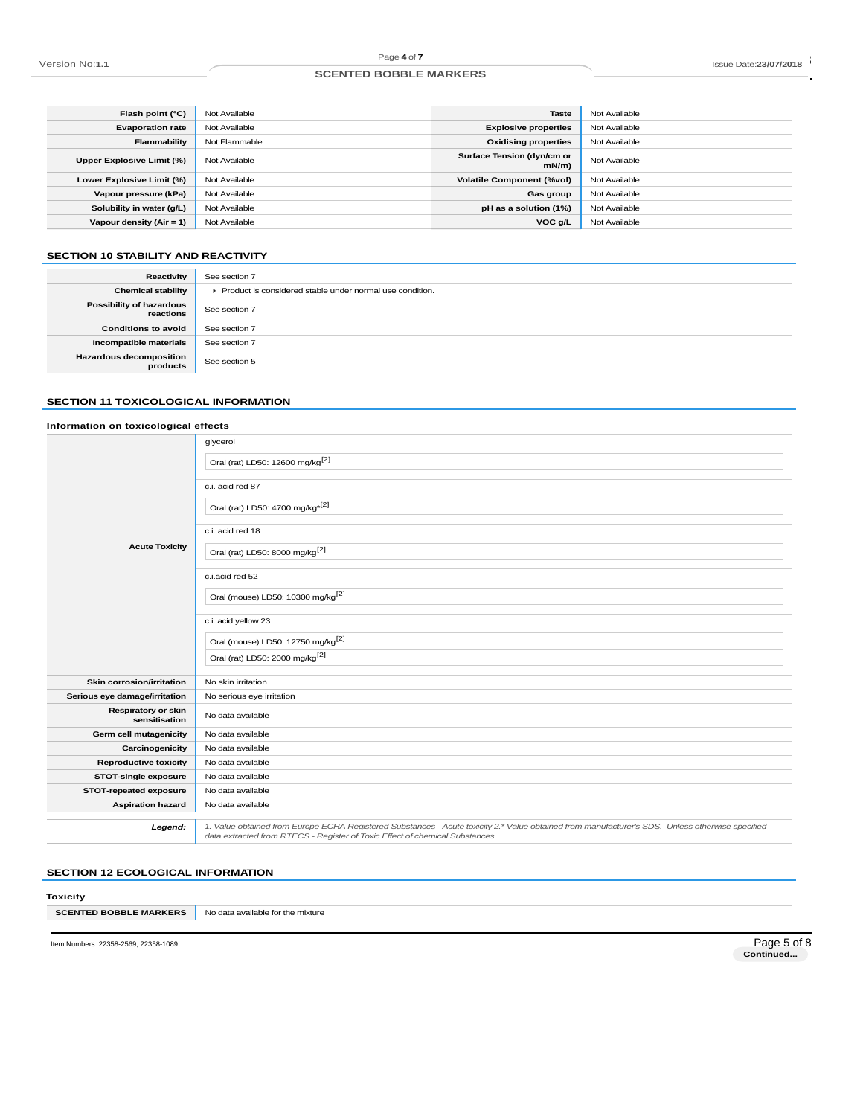#### Page 4 of 7<br>
Page 4 of 7<br>
SCENTED BOBBLE MARKERS **SCENTED BOBBLE MARKERS**

| Flash point (°C)           | Not Available | <b>Taste</b>                       | Not Available |
|----------------------------|---------------|------------------------------------|---------------|
| <b>Evaporation rate</b>    | Not Available | <b>Explosive properties</b>        | Not Available |
| Flammability               | Not Flammable | <b>Oxidising properties</b>        | Not Available |
| Upper Explosive Limit (%)  | Not Available | Surface Tension (dyn/cm or<br>mN/m | Not Available |
| Lower Explosive Limit (%)  | Not Available | <b>Volatile Component (%vol)</b>   | Not Available |
| Vapour pressure (kPa)      | Not Available | Gas group                          | Not Available |
| Solubility in water (g/L)  | Not Available | pH as a solution (1%)              | Not Available |
| Vapour density $(Air = 1)$ | Not Available | VOC g/L                            | Not Available |
|                            |               |                                    |               |

## **SECTION 10 STABILITY AND REACTIVITY**

| Reactivity                                   | See section 7                                              |
|----------------------------------------------|------------------------------------------------------------|
| <b>Chemical stability</b>                    | ▶ Product is considered stable under normal use condition. |
| <b>Possibility of hazardous</b><br>reactions | See section 7                                              |
| <b>Conditions to avoid</b>                   | See section 7                                              |
| Incompatible materials                       | See section 7                                              |
| <b>Hazardous decomposition</b><br>products   | See section 5                                              |

## **SECTION 11 TOXICOLOGICAL INFORMATION**

## **Information on toxicological effects**

|                                             | glycerol                                                                                                                                                                                                                        |
|---------------------------------------------|---------------------------------------------------------------------------------------------------------------------------------------------------------------------------------------------------------------------------------|
|                                             | Oral (rat) LD50: 12600 mg/kg <sup>[2]</sup>                                                                                                                                                                                     |
|                                             | c.i. acid red 87                                                                                                                                                                                                                |
|                                             | Oral (rat) LD50: 4700 mg/kg <sup>*[2]</sup>                                                                                                                                                                                     |
|                                             | c.i. acid red 18                                                                                                                                                                                                                |
| <b>Acute Toxicity</b>                       | Oral (rat) LD50: 8000 mg/kg <sup>[2]</sup>                                                                                                                                                                                      |
|                                             | c.i.acid red 52                                                                                                                                                                                                                 |
|                                             | Oral (mouse) LD50: 10300 mg/kg <sup>[2]</sup>                                                                                                                                                                                   |
|                                             | c.i. acid yellow 23                                                                                                                                                                                                             |
|                                             | Oral (mouse) LD50: 12750 mg/kg <sup>[2]</sup>                                                                                                                                                                                   |
|                                             | Oral (rat) LD50: 2000 mg/kg <sup>[2]</sup>                                                                                                                                                                                      |
| <b>Skin corrosion/irritation</b>            | No skin irritation                                                                                                                                                                                                              |
| Serious eye damage/irritation               | No serious eye irritation                                                                                                                                                                                                       |
| <b>Respiratory or skin</b><br>sensitisation | No data available                                                                                                                                                                                                               |
| Germ cell mutagenicity                      | No data available                                                                                                                                                                                                               |
| Carcinogenicity                             | No data available                                                                                                                                                                                                               |
| <b>Reproductive toxicity</b>                | No data available                                                                                                                                                                                                               |
| <b>STOT-single exposure</b>                 | No data available                                                                                                                                                                                                               |
| STOT-repeated exposure                      | No data available                                                                                                                                                                                                               |
| <b>Aspiration hazard</b>                    | No data available                                                                                                                                                                                                               |
| Legend:                                     | 1. Value obtained from Europe ECHA Registered Substances - Acute toxicity 2.* Value obtained from manufacturer's SDS. Unless otherwise specified<br>data extracted from RTECS - Register of Toxic Effect of chemical Substances |

## **SECTION 12 ECOLOGICAL INFORMATION**

| Toxicity                      |                                   |
|-------------------------------|-----------------------------------|
| <b>SCENTED BOBBLE MARKERS</b> | No data available for the mixture |
|                               |                                   |

Item Numbers: 22358-2569, 22358-1089

Page 5 of 8<br>Continued...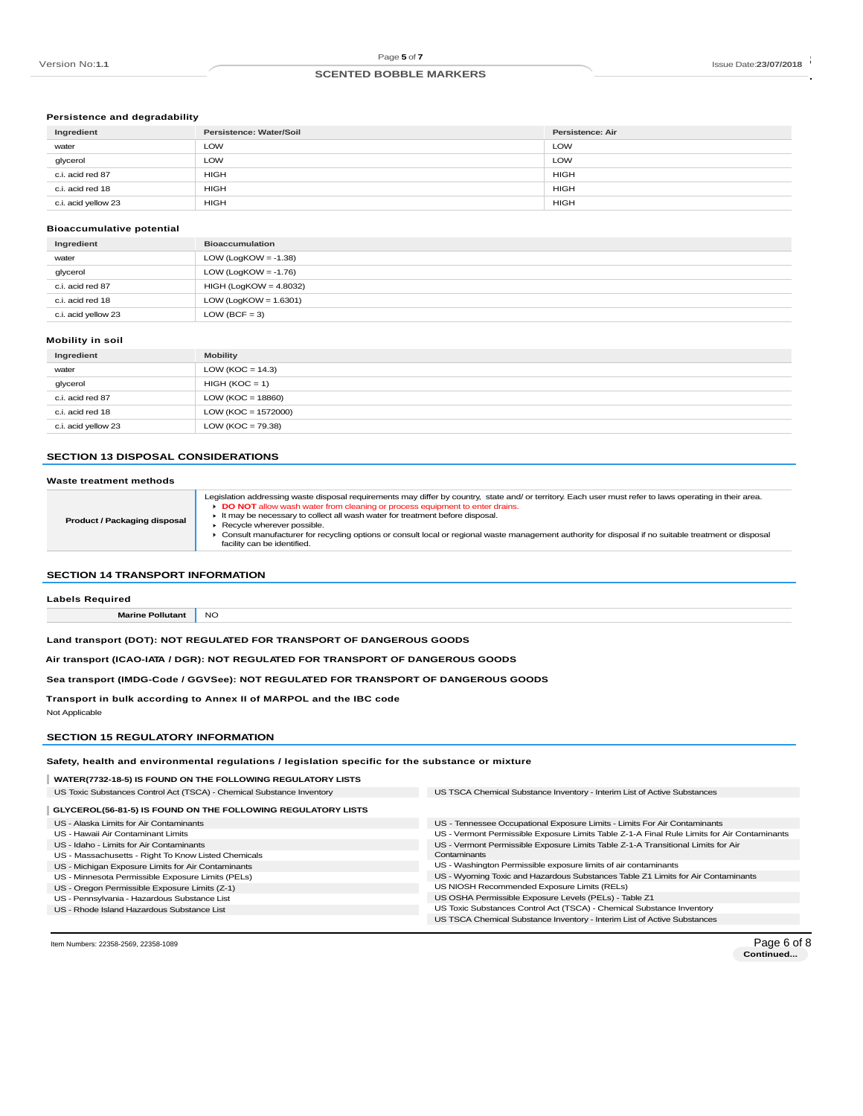#### Page 5 of 7<br>
RECENTED BOBBLE MARKERS<br>
SCENTED BOBBLE MARKERS **SCENTED BOBBLE MARKERS**

## **Persistence and degradability**

| Ingredient          | Persistence: Water/Soil | <b>Persistence: Air</b> |
|---------------------|-------------------------|-------------------------|
| water               | LOW                     | <b>LOW</b>              |
| glycerol            | LOW                     | <b>LOW</b>              |
| c.i. acid red 87    | <b>HIGH</b>             | <b>HIGH</b>             |
| c.i. acid red 18    | <b>HIGH</b>             | <b>HIGH</b>             |
| c.i. acid yellow 23 | <b>HIGH</b>             | <b>HIGH</b>             |

#### **Bioaccumulative potential**

| Ingredient          | <b>Bioaccumulation</b>   |
|---------------------|--------------------------|
| water               | LOW (LogKOW = $-1.38$ )  |
| glycerol            | LOW (LogKOW = $-1.76$ )  |
| c.i. acid red 87    | $HIGH (LogKOW = 4.8032)$ |
| c.i. acid red 18    | LOW (LogKOW = $1.6301$ ) |
| c.i. acid yellow 23 | LOW (BCF = 3)            |

## **Mobility in soil**

| Ingredient          | <b>Mobility</b>       |
|---------------------|-----------------------|
| water               | LOW (KOC = $14.3$ )   |
| glycerol            | $HIGH (KOC = 1)$      |
| c.i. acid red 87    | LOW ( $KOC = 18860$ ) |
| c.i. acid red 18    | $LOW (KOC = 1572000)$ |
| c.i. acid yellow 23 | LOW (KOC = $79.38$ )  |

## **SECTION 13 DISPOSAL CONSIDERATIONS**

#### **Waste treatment methods**

|                                     | Legislation addressing waste disposal requirements may differ by country, state and/ or territory. Each user must refer to laws operating in their area. |
|-------------------------------------|----------------------------------------------------------------------------------------------------------------------------------------------------------|
| <b>Product / Packaging disposal</b> | DO NOT allow wash water from cleaning or process equipment to enter drains.                                                                              |
|                                     | It may be necessary to collect all wash water for treatment before disposal.                                                                             |
|                                     | Recycle wherever possible.                                                                                                                               |
|                                     | Consult manufacturer for recycling options or consult local or regional waste management authority for disposal if no suitable treatment or disposal     |
|                                     | facility can be identified.                                                                                                                              |
|                                     |                                                                                                                                                          |

## **SECTION 14 TRANSPORT INFORMATION**

| <b>Labels Required</b>                                                          |           |
|---------------------------------------------------------------------------------|-----------|
| <b>Marine Pollutant</b>                                                         | <b>NO</b> |
| Land transport (DOT): NOT REGULATED FOR TRANSPORT OF DANGEROUS GOODS            |           |
| Air transport (ICAO-IATA / DGR): NOT REGULATED FOR TRANSPORT OF DANGEROUS GOODS |           |

**Sea transport (IMDG-Code / GGVSee): NOT REGULATED FOR TRANSPORT OF DANGEROUS GOODS**

**Transport in bulk according to Annex II of MARPOL and the IBC code**

Not Applicable

## **SECTION 15 REGULATORY INFORMATION**

**Safety, health and environmental regulations / legislation specific for the substance or mixture**

| WATER(7732-18-5) IS FOUND ON THE FOLLOWING REGULATORY LISTS           |                                                                                             |
|-----------------------------------------------------------------------|---------------------------------------------------------------------------------------------|
| US Toxic Substances Control Act (TSCA) - Chemical Substance Inventory | US TSCA Chemical Substance Inventory - Interim List of Active Substances                    |
| GLYCEROL(56-81-5) IS FOUND ON THE FOLLOWING REGULATORY LISTS          |                                                                                             |
| US - Alaska Limits for Air Contaminants                               | US - Tennessee Occupational Exposure Limits - Limits For Air Contaminants                   |
| US - Hawaii Air Contaminant Limits                                    | US - Vermont Permissible Exposure Limits Table Z-1-A Final Rule Limits for Air Contaminants |
| US - Idaho - Limits for Air Contaminants                              | US - Vermont Permissible Exposure Limits Table Z-1-A Transitional Limits for Air            |
| US - Massachusetts - Right To Know Listed Chemicals                   | Contaminants                                                                                |
| US - Michigan Exposure Limits for Air Contaminants                    | US - Washington Permissible exposure limits of air contaminants                             |
| US - Minnesota Permissible Exposure Limits (PELs)                     | US - Wyoming Toxic and Hazardous Substances Table Z1 Limits for Air Contaminants            |
| US - Oregon Permissible Exposure Limits (Z-1)                         | US NIOSH Recommended Exposure Limits (RELs)                                                 |
| US - Pennsylvania - Hazardous Substance List                          | US OSHA Permissible Exposure Levels (PELs) - Table Z1                                       |
| US - Rhode Island Hazardous Substance List                            | US Toxic Substances Control Act (TSCA) - Chemical Substance Inventory                       |
|                                                                       | US TSCA Chemical Substance Inventory - Interim List of Active Substances                    |
|                                                                       |                                                                                             |

Item Numbers: 22358-2569, 22358-1089

Page 6 of 8<br>Continued...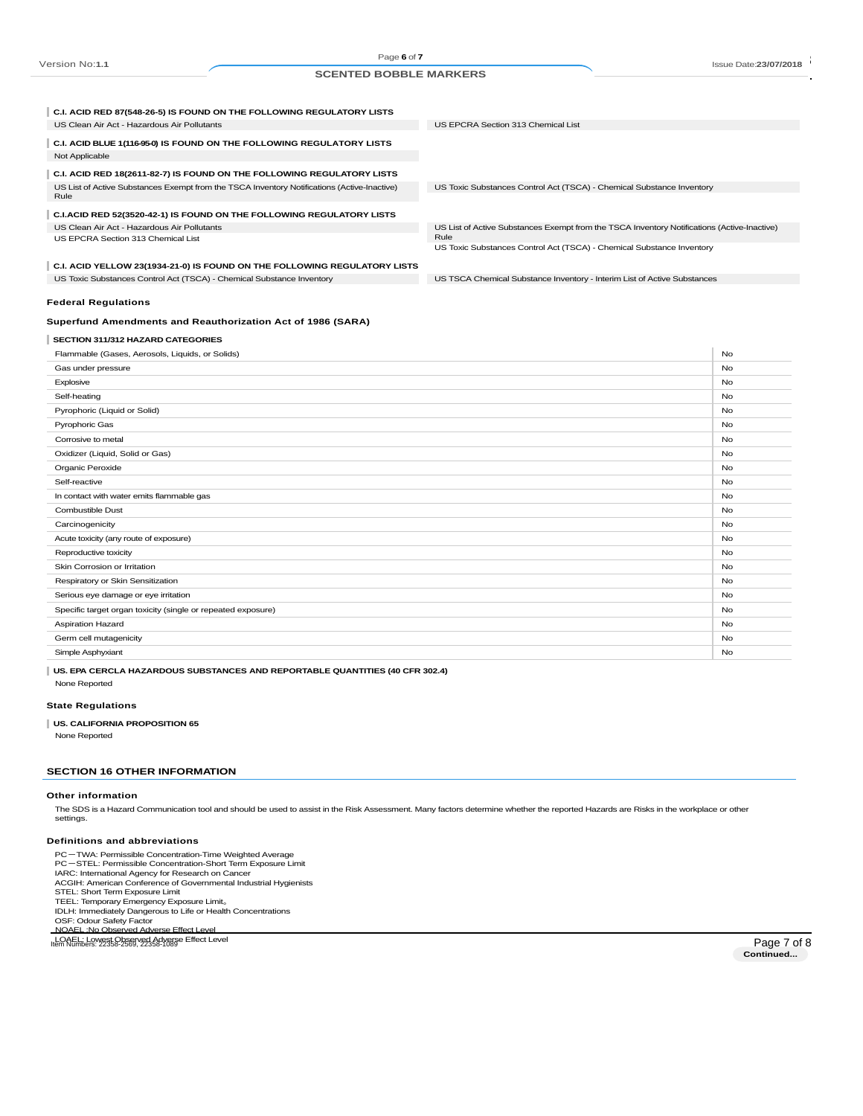Page **6** of **7**

#### Page 6 of 7<br>
Page 6 of 7 and 5 CENTED BOBBLE MARKERS<br>
SCENTED BOBBLE MARKERS **SCENTED BOBBLE MARKERS**

| C.I. ACID RED 87(548-26-5) IS FOUND ON THE FOLLOWING REGULATORY LISTS                               |                                                                                             |           |
|-----------------------------------------------------------------------------------------------------|---------------------------------------------------------------------------------------------|-----------|
| US Clean Air Act - Hazardous Air Pollutants                                                         | US EPCRA Section 313 Chemical List                                                          |           |
| C.I. ACID BLUE 1(116-95-0) IS FOUND ON THE FOLLOWING REGULATORY LISTS<br>Not Applicable             |                                                                                             |           |
| C.I. ACID RED 18(2611-82-7) IS FOUND ON THE FOLLOWING REGULATORY LISTS                              |                                                                                             |           |
| US List of Active Substances Exempt from the TSCA Inventory Notifications (Active-Inactive)<br>Rule | US Toxic Substances Control Act (TSCA) - Chemical Substance Inventory                       |           |
| C.I.ACID RED 52(3520-42-1) IS FOUND ON THE FOLLOWING REGULATORY LISTS                               |                                                                                             |           |
| US Clean Air Act - Hazardous Air Pollutants                                                         | US List of Active Substances Exempt from the TSCA Inventory Notifications (Active-Inactive) |           |
| US EPCRA Section 313 Chemical List                                                                  | Rule<br>US Toxic Substances Control Act (TSCA) - Chemical Substance Inventory               |           |
|                                                                                                     |                                                                                             |           |
| C.I. ACID YELLOW 23(1934-21-0) IS FOUND ON THE FOLLOWING REGULATORY LISTS                           |                                                                                             |           |
| US Toxic Substances Control Act (TSCA) - Chemical Substance Inventory                               | US TSCA Chemical Substance Inventory - Interim List of Active Substances                    |           |
| <b>Federal Regulations</b>                                                                          |                                                                                             |           |
| Superfund Amendments and Reauthorization Act of 1986 (SARA)                                         |                                                                                             |           |
| SECTION 311/312 HAZARD CATEGORIES                                                                   |                                                                                             |           |
| Flammable (Gases, Aerosols, Liquids, or Solids)                                                     |                                                                                             | No        |
| Gas under pressure                                                                                  |                                                                                             | <b>No</b> |
| Explosive                                                                                           |                                                                                             | <b>No</b> |
| Self-heating                                                                                        |                                                                                             | No        |
| Pyrophoric (Liquid or Solid)                                                                        |                                                                                             | <b>No</b> |
| Pyrophoric Gas                                                                                      |                                                                                             | <b>No</b> |
| Corrosive to metal                                                                                  |                                                                                             | <b>No</b> |
| Oxidizer (Liquid, Solid or Gas)                                                                     |                                                                                             | No        |
| Organic Peroxide                                                                                    |                                                                                             | <b>No</b> |
| Self-reactive                                                                                       |                                                                                             | <b>No</b> |
| In contact with water emits flammable gas                                                           |                                                                                             | <b>No</b> |
| <b>Combustible Dust</b>                                                                             |                                                                                             | <b>No</b> |
| Carcinogenicity                                                                                     |                                                                                             | No        |
| Acute toxicity (any route of exposure)                                                              |                                                                                             | No        |
| Reproductive toxicity                                                                               |                                                                                             | No        |
| Skin Corrosion or Irritation                                                                        |                                                                                             | <b>No</b> |

**SECTION 16 OTHER INFORMATION**

#### **Other information**

None Reported **State Regulations**

None Reported

The SDS is a Hazard Communication tool and should be used to assist in the Risk Assessment. Many factors determine whether the reported Hazards are Risks in the workplace or other settings.

Respiratory or Skin Sensitization No. No. 2012 12:30 No. 2012 12:30 No. 2012 12:30 No. 2012 12:30 No. 2013 No. 2013 12:30 No. 2013 No. 2013 12:30 No. 2013 12:30 No. 2013 12:30 No. 2013 12:30 No. 2013 12:30 No. 2013 12:30 N Serious eye damage or eye irritation No Specific target organ toxicity (single or repeated exposure) No when the state of the state of the state of the state of the state of the state of the state of the state of the state of the state of the state of the state Aspiration Hazard No Contract the Contract of the Contract of the Contract of the Contract of No Contract of No Germ cell mutagenicity No and the United States of the United States of the United States of No and States of No Simple Asphyxiant **No. 2006** No. 2006 No. 2007 No. 2008 No. 2008 No. 2008 No. 2008 No. 2008 No. 2008 No. 2008 No. 2008 No. 2008 No. 2008 No. 2008 No. 2008 No. 2008 No. 2008 No. 2008 No. 2008 No. 2008 No. 2008 No. 2008 No.

#### **Definitions and abbreviations**

**US. CALIFORNIA PROPOSITION 65**

PC-TWA: Permissible Concentration-Time Weighted Average PC-STEL: Permissible Concentration-Short Term Exposure Limit IARC: International Agency for Research on Cancer ACGIH: American Conference of Governmental Industrial Hygienists STEL: Short Term Exposure Limit TEEL: Temporary Emergency Exposure Limit。 IDLH: Immediately Dangerous to Life or Health Concentrations OSF: Odour Safety Factor NOAEL :No Observed Adverse Effect Level LOAEL: Lowest Observed Adverse Effect Level<br>Numbers: 22358-2569, 22358-2569, 22358-2569, 2358-2569, 2358-2569, 2358-2569, 2358-2569, 2358-2569, 2358-2569,

**US. EPA CERCLA HAZARDOUS SUBSTANCES AND REPORTABLE QUANTITIES (40 CFR 302.4)**

Page 7 of 8<br>Continued...